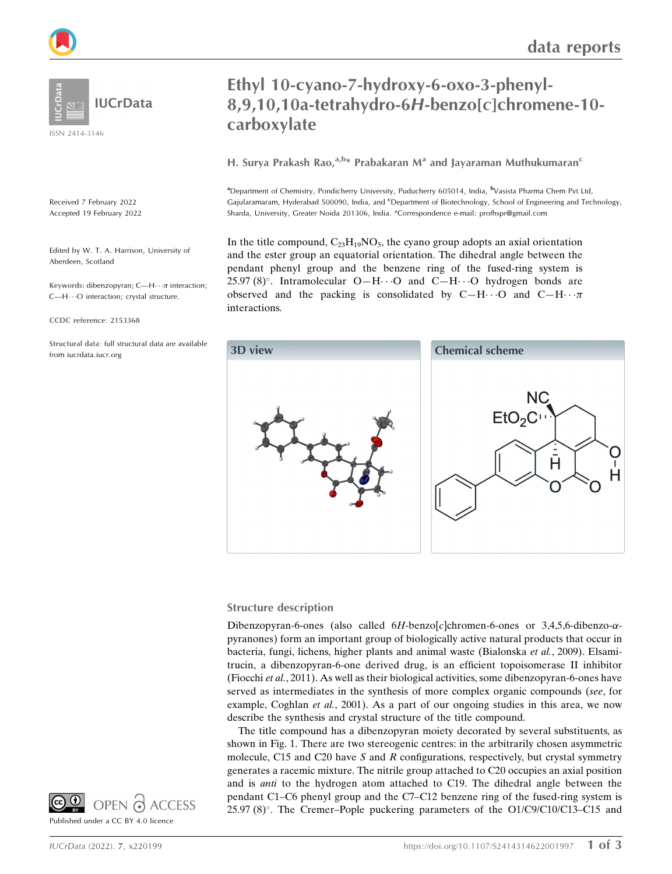ISSN 2414-3146

Received 7 February 2022 Accepted 19 February 2022

Edited by W. T. A. Harrison, University of Aberdeen, Scotland

Keywords: dibenzopyran; C—H $\cdots$  $\pi$  interaction; C-H $\cdots$ O interaction; crystal structure.

CCDC reference: 2153368

Structural data: full structural data are available from iucrdata.iucr.org

# data reports

# Ethyl 10-cyano-7-hydroxy-6-oxo-3-phenyl-8,9,10,10a-tetrahydro-6H-benzo[c]chromene-10 carboxylate

H. Surya Prakash Rao,  $a,b*$  Prabakaran M<sup>a</sup> and Jayaraman Muthukumaran<sup>c</sup>

<sup>a</sup> Department of Chemistry, Pondicherry University, Puducherry 605014, India, <sup>b</sup> Vasista Pharma Chem Pvt Ltd, Gajularamaram, Hyderabad 500090, India, and <sup>c</sup>Department of Biotechnology, School of Engineering and Technology, Sharda, University, Greater Noida 201306, India. \*Correspondence e-mail: profhspr@gmail.com

In the title compound,  $C_{23}H_{19}NO_5$ , the cyano group adopts an axial orientation and the ester group an equatorial orientation. The dihedral angle between the pendant phenyl group and the benzene ring of the fused-ring system is 25.97 (8)°. Intramolecular O-H $\cdots$ O and C-H $\cdots$ O hydrogen bonds are observed and the packing is consolidated by C-H $\cdots$ O and C-H $\cdots$  $\pi$ interactions.



#### Structure description

Dibenzopyran-6-ones (also called  $6H$ -benzo $[c]$ chromen-6-ones or 3,4,5,6-dibenzo- $\alpha$ pyranones) form an important group of biologically active natural products that occur in bacteria, fungi, lichens, higher plants and animal waste (Bialonska et al., 2009). Elsamitrucin, a dibenzopyran-6-one derived drug, is an efficient topoisomerase II inhibitor (Fiocchi et al., 2011). As well as their biological activities, some dibenzopyran-6-ones have served as intermediates in the synthesis of more complex organic compounds (see, for example, Coghlan et al., 2001). As a part of our ongoing studies in this area, we now describe the synthesis and crystal structure of the title compound.

The title compound has a dibenzopyran moiety decorated by several substituents, as shown in Fig. 1. There are two stereogenic centres: in the arbitrarily chosen asymmetric molecule, C15 and C20 have S and R configurations, respectively, but crystal symmetry generates a racemic mixture. The nitrile group attached to C20 occupies an axial position and is anti to the hydrogen atom attached to C19. The dihedral angle between the pendant C1–C6 phenyl group and the C7–C12 benzene ring of the fused-ring system is 25.97 (8)°. The Cremer–Pople puckering parameters of the O1/C9/C10/C13-C15 and

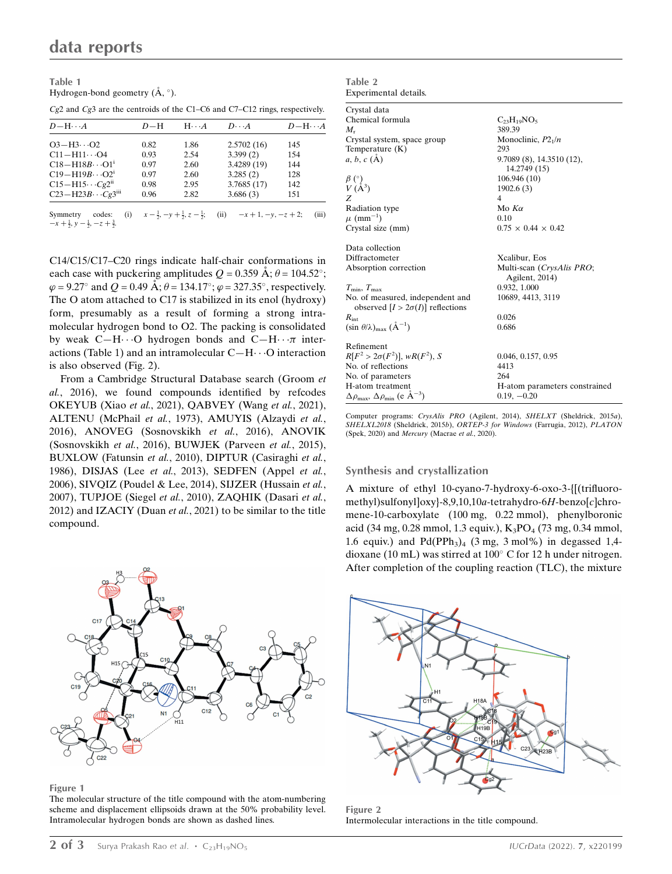Table 1 Hydrogen-bond geometry  $(\AA, \degree)$ .

| $D-H\cdots A$                  | $D-H$ | $H \cdot \cdot \cdot A$ | $D\cdot\cdot\cdot A$               | $D-\mathrm{H}\cdots A$ |
|--------------------------------|-------|-------------------------|------------------------------------|------------------------|
| $O3 - H3 \cdot O2$             | 0.82  | 1.86                    | 2.5702(16)                         | 145                    |
| $C11 - H11 \cdots O4$          | 0.93  | 2.54                    | 3.399(2)                           | 154                    |
| $C18 - H18B \cdots O1^1$       | 0.97  | 2.60                    | 3.4289 (19)                        | 144                    |
| $C19 - H19B \cdots O2^{i}$     | 0.97  | 2.60                    | 3.285(2)                           | 128                    |
| $C15 - H15 \cdots Cg2^{n}$     | 0.98  | 2.95                    | 3.7685(17)                         | 142                    |
| $C23-H23B\cdots Cg3iii$        | 0.96  | 2.82                    | 3.686(3)                           | 151                    |
| $\alpha$ . The set of $\alpha$ |       |                         | $1 \quad 1 \quad 1 \quad 2 \cdots$ | $\sim$ $\sim$ $\sim$   |

Cg2 and Cg3 are the centroids of the C1–C6 and C7–C12 rings, respectively.

Symmetry  $\frac{1}{2}$ ,  $-y$  +  $\frac{1}{2}$  $\frac{1}{2}$ ,  $z - \frac{1}{2}$  $\frac{1}{2}$ ; (ii)  $-x+1, -y, -z+2$ ; (iii)  $-x+\frac{1}{2}, y-\frac{1}{2}$  $\frac{1}{2}$ ,  $-z + \frac{3}{2}$ .

C14/C15/C17–C20 rings indicate half-chair conformations in each case with puckering amplitudes  $Q = 0.359 \text{ Å}; \theta = 104.52^{\circ};$  $\varphi = 9.27^{\circ}$  and  $Q = 0.49 \text{ Å}; \theta = 134.17^{\circ}; \varphi = 327.35^{\circ}$ , respectively. The O atom attached to C17 is stabilized in its enol (hydroxy) form, presumably as a result of forming a strong intramolecular hydrogen bond to O2. The packing is consolidated by weak C-H $\cdots$ O hydrogen bonds and C-H $\cdots$  interactions (Table 1) and an intramolecular  $C-H\cdots O$  interaction is also observed (Fig. 2).

From a Cambridge Structural Database search (Groom et al., 2016), we found compounds identified by refcodes OKEYUB (Xiao et al., 2021), QABVEY (Wang et al., 2021), ALTENU (McPhail et al., 1973), AMUYIS (Alzaydi et al., 2016), ANOVEG (Sosnovskikh et al., 2016), ANOVIK (Sosnovskikh et al., 2016), BUWJEK (Parveen et al., 2015), BUXLOW (Fatunsin et al., 2010), DIPTUR (Casiraghi et al., 1986), DISJAS (Lee et al., 2013), SEDFEN (Appel et al., 2006), SIVQIZ (Poudel & Lee, 2014), SIJZER (Hussain et al., 2007), TUPJOE (Siegel et al., 2010), ZAQHIK (Dasari et al., 2012) and IZACIY (Duan et al., 2021) to be similar to the title compound.



Figure 1

The molecular structure of the title compound with the atom-numbering scheme and displacement ellipsoids drawn at the 50% probability level. Intramolecular hydrogen bonds are shown as dashed lines.

| Table 2               |  |
|-----------------------|--|
| Experimental details. |  |
|                       |  |

| Crystal data                                                                 |                                             |
|------------------------------------------------------------------------------|---------------------------------------------|
| Chemical formula                                                             | $C_{23}H_{19}NO_5$                          |
| $M_{r}$                                                                      | 389.39                                      |
| Crystal system, space group                                                  | Monoclinic, $P2_1/n$                        |
| Temperature $(K)$                                                            | 293                                         |
| $a, b, c (\AA)$                                                              | 9.7089 (8), 14.3510 (12),<br>14.2749 (15)   |
|                                                                              | 106.946 (10)                                |
| $\frac{\beta}{V}$ (A <sup>3</sup> )                                          | 1902.6(3)                                   |
| Z                                                                            | $\overline{4}$                              |
| Radiation type                                                               | Mo $K\alpha$                                |
| $\mu$ (mm <sup>-1</sup> )                                                    | 0.10                                        |
| Crystal size (mm)                                                            | $0.75 \times 0.44 \times 0.42$              |
| Data collection                                                              |                                             |
| Diffractometer                                                               | Xcalibur, Eos                               |
| Absorption correction                                                        | Multi-scan (CrysAlis PRO;<br>Agilent, 2014) |
| $T_{\min}$ , $T_{\max}$                                                      | 0.932, 1.000                                |
| No. of measured, independent and<br>observed $[I > 2\sigma(I)]$ reflections  | 10689, 4413, 3119                           |
| $R_{\rm int}$                                                                | 0.026                                       |
| $(\sin \theta/\lambda)_{\text{max}}$ $(\text{A}^{-1})$                       | 0.686                                       |
| Refinement                                                                   |                                             |
| $R[F^2 > 2\sigma(F^2)], wR(F^2), S$                                          | 0.046, 0.157, 0.95                          |
| No. of reflections                                                           | 4413                                        |
| No. of parameters                                                            | 264                                         |
| H-atom treatment                                                             | H-atom parameters constrained               |
| $\Delta \rho_{\text{max}}$ , $\Delta \rho_{\text{min}}$ (e Å <sup>-3</sup> ) | $0.19, -0.20$                               |

Computer programs: CrysAlis PRO (Agilent, 2014), SHELXT (Sheldrick, 2015a), SHELXL2018 (Sheldrick, 2015b), ORTEP-3 for Windows (Farrugia, 2012), PLATON (Spek, 2020) and Mercury (Macrae et al., 2020).

#### Synthesis and crystallization

A mixture of ethyl 10-cyano-7-hydroxy-6-oxo-3-{[(trifluoromethyl)sulfonyl]oxy}-8,9,10,10a-tetrahydro-6H-benzo[c]chromene-10-carboxylate (100 mg, 0.22 mmol), phenylboronic acid (34 mg, 0.28 mmol, 1.3 equiv.),  $K_3PO_4$  (73 mg, 0.34 mmol, 1.6 equiv.) and  $Pd(PPh<sub>3</sub>)<sub>4</sub>$  (3 mg, 3 mol%) in degassed 1,4dioxane (10 mL) was stirred at 100° C for 12 h under nitrogen. After completion of the coupling reaction (TLC), the mixture



Figure 2 Intermolecular interactions in the title compound.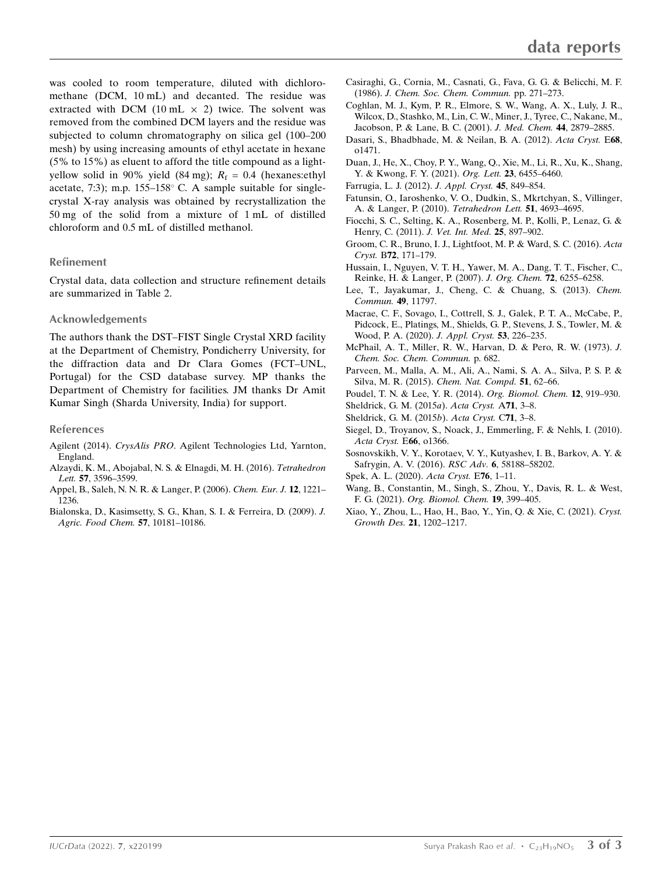was cooled to room temperature, diluted with dichloromethane (DCM, 10 mL) and decanted. The residue was extracted with DCM (10 mL  $\times$  2) twice. The solvent was removed from the combined DCM layers and the residue was subjected to column chromatography on silica gel (100–200 mesh) by using increasing amounts of ethyl acetate in hexane (5% to 15%) as eluent to afford the title compound as a lightyellow solid in 90% yield (84 mg);  $R_f = 0.4$  (hexanes: ethyl acetate, 7:3); m.p.  $155-158^{\circ}$  C. A sample suitable for singlecrystal X-ray analysis was obtained by recrystallization the 50 mg of the solid from a mixture of 1 mL of distilled chloroform and 0.5 mL of distilled methanol.

#### Refinement

Crystal data, data collection and structure refinement details are summarized in Table 2.

#### Acknowledgements

The authors thank the DST–FIST Single Crystal XRD facility at the Department of Chemistry, Pondicherry University, for the diffraction data and Dr Clara Gomes (FCT–UNL, Portugal) for the CSD database survey. MP thanks the Department of Chemistry for facilities. JM thanks Dr Amit Kumar Singh (Sharda University, India) for support.

#### References

- Agilent (2014). CrysAlis PRO[. Agilent Technologies Ltd, Yarnton,](http://scripts.iucr.org/cgi-bin/cr.cgi?rm=pdfbb&cnor=hb4401&bbid=BB1) [England.](http://scripts.iucr.org/cgi-bin/cr.cgi?rm=pdfbb&cnor=hb4401&bbid=BB1)
- [Alzaydi, K. M., Abojabal, N. S. & Elnagdi, M. H. \(2016\).](http://scripts.iucr.org/cgi-bin/cr.cgi?rm=pdfbb&cnor=hb4401&bbid=BB2) Tetrahedron Lett. 57[, 3596–3599.](http://scripts.iucr.org/cgi-bin/cr.cgi?rm=pdfbb&cnor=hb4401&bbid=BB2)
- [Appel, B., Saleh, N. N. R. & Langer, P. \(2006\).](http://scripts.iucr.org/cgi-bin/cr.cgi?rm=pdfbb&cnor=hb4401&bbid=BB3) Chem. Eur. J. 12, 1221– [1236.](http://scripts.iucr.org/cgi-bin/cr.cgi?rm=pdfbb&cnor=hb4401&bbid=BB3)
- [Bialonska, D., Kasimsetty, S. G., Khan, S. I. & Ferreira, D. \(2009\).](http://scripts.iucr.org/cgi-bin/cr.cgi?rm=pdfbb&cnor=hb4401&bbid=BB4) J. [Agric. Food Chem.](http://scripts.iucr.org/cgi-bin/cr.cgi?rm=pdfbb&cnor=hb4401&bbid=BB4) 57, 10181–10186.
- [Casiraghi, G., Cornia, M., Casnati, G., Fava, G. G. & Belicchi, M. F.](http://scripts.iucr.org/cgi-bin/cr.cgi?rm=pdfbb&cnor=hb4401&bbid=BB5) (1986). [J. Chem. Soc. Chem. Commun.](http://scripts.iucr.org/cgi-bin/cr.cgi?rm=pdfbb&cnor=hb4401&bbid=BB5) pp. 271–273.
- [Coghlan, M. J., Kym, P. R., Elmore, S. W., Wang, A. X., Luly, J. R.,](http://scripts.iucr.org/cgi-bin/cr.cgi?rm=pdfbb&cnor=hb4401&bbid=BB6) [Wilcox, D., Stashko, M., Lin, C. W., Miner, J., Tyree, C., Nakane, M.,](http://scripts.iucr.org/cgi-bin/cr.cgi?rm=pdfbb&cnor=hb4401&bbid=BB6) [Jacobson, P. & Lane, B. C. \(2001\).](http://scripts.iucr.org/cgi-bin/cr.cgi?rm=pdfbb&cnor=hb4401&bbid=BB6) J. Med. Chem. 44, 2879–2885.
- [Dasari, S., Bhadbhade, M. & Neilan, B. A. \(2012\).](http://scripts.iucr.org/cgi-bin/cr.cgi?rm=pdfbb&cnor=hb4401&bbid=BB7) Acta Cryst. E68, [o1471.](http://scripts.iucr.org/cgi-bin/cr.cgi?rm=pdfbb&cnor=hb4401&bbid=BB7)
- [Duan, J., He, X., Choy, P. Y., Wang, Q., Xie, M., Li, R., Xu, K., Shang,](http://scripts.iucr.org/cgi-bin/cr.cgi?rm=pdfbb&cnor=hb4401&bbid=BB8) [Y. & Kwong, F. Y. \(2021\).](http://scripts.iucr.org/cgi-bin/cr.cgi?rm=pdfbb&cnor=hb4401&bbid=BB8) Org. Lett. 23, 6455-6460.
- [Farrugia, L. J. \(2012\).](http://scripts.iucr.org/cgi-bin/cr.cgi?rm=pdfbb&cnor=hb4401&bbid=BB9) J. Appl. Cryst. 45, 849–854.
- [Fatunsin, O., Iaroshenko, V. O., Dudkin, S., Mkrtchyan, S., Villinger,](http://scripts.iucr.org/cgi-bin/cr.cgi?rm=pdfbb&cnor=hb4401&bbid=BB10) [A. & Langer, P. \(2010\).](http://scripts.iucr.org/cgi-bin/cr.cgi?rm=pdfbb&cnor=hb4401&bbid=BB10) Tetrahedron Lett. 51, 4693-4695.
- [Fiocchi, S. C., Selting, K. A., Rosenberg, M. P., Kolli, P., Lenaz, G. &](http://scripts.iucr.org/cgi-bin/cr.cgi?rm=pdfbb&cnor=hb4401&bbid=BB11) [Henry, C. \(2011\).](http://scripts.iucr.org/cgi-bin/cr.cgi?rm=pdfbb&cnor=hb4401&bbid=BB11) J. Vet. Int. Med. 25, 897–902.
- [Groom, C. R., Bruno, I. J., Lightfoot, M. P. & Ward, S. C. \(2016\).](http://scripts.iucr.org/cgi-bin/cr.cgi?rm=pdfbb&cnor=hb4401&bbid=BB12) Acta Cryst. B72[, 171–179.](http://scripts.iucr.org/cgi-bin/cr.cgi?rm=pdfbb&cnor=hb4401&bbid=BB12)
- [Hussain, I., Nguyen, V. T. H., Yawer, M. A., Dang, T. T., Fischer, C.,](http://scripts.iucr.org/cgi-bin/cr.cgi?rm=pdfbb&cnor=hb4401&bbid=BB13) [Reinke, H. & Langer, P. \(2007\).](http://scripts.iucr.org/cgi-bin/cr.cgi?rm=pdfbb&cnor=hb4401&bbid=BB13) J. Org. Chem. 72, 6255–6258.
- [Lee, T., Jayakumar, J., Cheng, C. & Chuang, S. \(2013\).](http://scripts.iucr.org/cgi-bin/cr.cgi?rm=pdfbb&cnor=hb4401&bbid=BB14) Chem. [Commun.](http://scripts.iucr.org/cgi-bin/cr.cgi?rm=pdfbb&cnor=hb4401&bbid=BB14) 49, 11797.
- [Macrae, C. F., Sovago, I., Cottrell, S. J., Galek, P. T. A., McCabe, P.,](http://scripts.iucr.org/cgi-bin/cr.cgi?rm=pdfbb&cnor=hb4401&bbid=BB15) [Pidcock, E., Platings, M., Shields, G. P., Stevens, J. S., Towler, M. &](http://scripts.iucr.org/cgi-bin/cr.cgi?rm=pdfbb&cnor=hb4401&bbid=BB15) [Wood, P. A. \(2020\).](http://scripts.iucr.org/cgi-bin/cr.cgi?rm=pdfbb&cnor=hb4401&bbid=BB15) J. Appl. Cryst. 53, 226–235.
- [McPhail, A. T., Miller, R. W., Harvan, D. & Pero, R. W. \(1973\).](http://scripts.iucr.org/cgi-bin/cr.cgi?rm=pdfbb&cnor=hb4401&bbid=BB16) J. [Chem. Soc. Chem. Commun.](http://scripts.iucr.org/cgi-bin/cr.cgi?rm=pdfbb&cnor=hb4401&bbid=BB16) p. 682.
- [Parveen, M., Malla, A. M., Ali, A., Nami, S. A. A., Silva, P. S. P. &](http://scripts.iucr.org/cgi-bin/cr.cgi?rm=pdfbb&cnor=hb4401&bbid=BB17) Silva, M. R. (2015). [Chem. Nat. Compd.](http://scripts.iucr.org/cgi-bin/cr.cgi?rm=pdfbb&cnor=hb4401&bbid=BB17) 51, 62–66.
- [Poudel, T. N. & Lee, Y. R. \(2014\).](http://scripts.iucr.org/cgi-bin/cr.cgi?rm=pdfbb&cnor=hb4401&bbid=BB18) Org. Biomol. Chem. 12, 919–930.
- [Sheldrick, G. M. \(2015](http://scripts.iucr.org/cgi-bin/cr.cgi?rm=pdfbb&cnor=hb4401&bbid=BB19)a). Acta Cryst. A71, 3–8.
- [Sheldrick, G. M. \(2015](http://scripts.iucr.org/cgi-bin/cr.cgi?rm=pdfbb&cnor=hb4401&bbid=BB20)b). Acta Cryst. C71, 3–8.
- [Siegel, D., Troyanov, S., Noack, J., Emmerling, F. & Nehls, I. \(2010\).](http://scripts.iucr.org/cgi-bin/cr.cgi?rm=pdfbb&cnor=hb4401&bbid=BB21) [Acta Cryst.](http://scripts.iucr.org/cgi-bin/cr.cgi?rm=pdfbb&cnor=hb4401&bbid=BB21) E66, o1366.
- [Sosnovskikh, V. Y., Korotaev, V. Y., Kutyashev, I. B., Barkov, A. Y. &](http://scripts.iucr.org/cgi-bin/cr.cgi?rm=pdfbb&cnor=hb4401&bbid=BB22) [Safrygin, A. V. \(2016\).](http://scripts.iucr.org/cgi-bin/cr.cgi?rm=pdfbb&cnor=hb4401&bbid=BB22) RSC Adv. 6, 58188–58202.
- [Spek, A. L. \(2020\).](http://scripts.iucr.org/cgi-bin/cr.cgi?rm=pdfbb&cnor=hb4401&bbid=BB23) Acta Cryst. E76, 1–11.
- [Wang, B., Constantin, M., Singh, S., Zhou, Y., Davis, R. L. & West,](http://scripts.iucr.org/cgi-bin/cr.cgi?rm=pdfbb&cnor=hb4401&bbid=BB24) F. G. (2021). [Org. Biomol. Chem.](http://scripts.iucr.org/cgi-bin/cr.cgi?rm=pdfbb&cnor=hb4401&bbid=BB24) 19, 399–405.
- [Xiao, Y., Zhou, L., Hao, H., Bao, Y., Yin, Q. & Xie, C. \(2021\).](http://scripts.iucr.org/cgi-bin/cr.cgi?rm=pdfbb&cnor=hb4401&bbid=BB25) Cryst. [Growth Des.](http://scripts.iucr.org/cgi-bin/cr.cgi?rm=pdfbb&cnor=hb4401&bbid=BB25) 21, 1202–1217.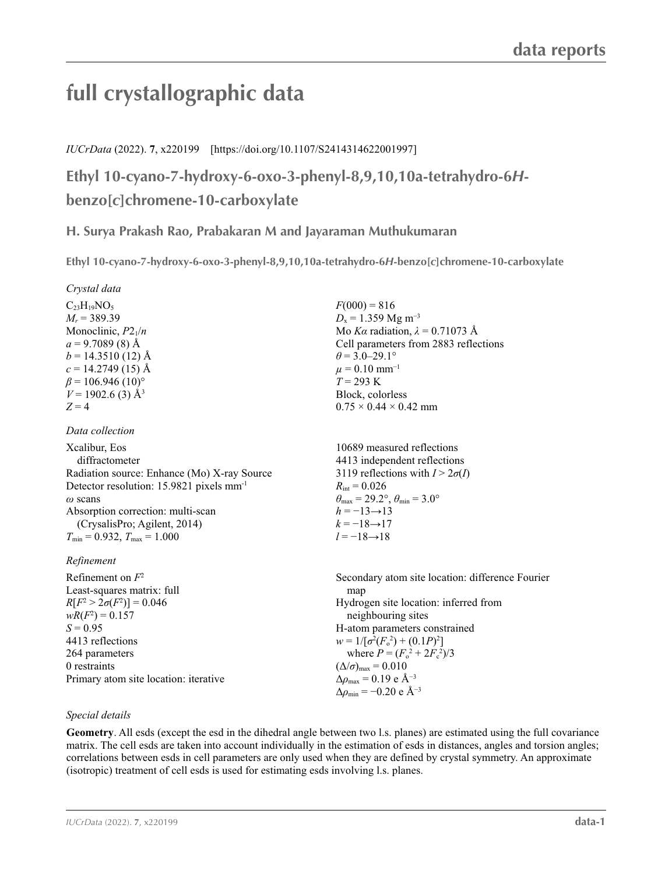# **full crystallographic data**

## *IUCrData* (2022). **7**, x220199 [https://doi.org/10.1107/S2414314622001997]

**Ethyl 10-cyano-7-hydroxy-6-oxo-3-phenyl-8,9,10,10a-tetrahydro-6***H***benzo[***c***]chromene-10-carboxylate**

# **H. Surya Prakash Rao, Prabakaran M and Jayaraman Muthukumaran**

**Ethyl 10-cyano-7-hydroxy-6-oxo-3-phenyl-8,9,10,10a-tetrahydro-6***H***-benzo[***c***]chromene-10-carboxylate** 

 $F(000) = 816$  $D_x = 1.359$  Mg m<sup>-3</sup>

 $\theta$  = 3.0–29.1°  $\mu$  = 0.10 mm<sup>-1</sup>  $T = 293$  K Block, colorless  $0.75 \times 0.44 \times 0.42$  mm

 $R_{\text{int}} = 0.026$ 

 $h = -13 \rightarrow 13$  $k = -18 \rightarrow 17$ *l* = −18→18

Mo *Kα* radiation,  $\lambda = 0.71073$  Å Cell parameters from 2883 reflections

10689 measured reflections 4413 independent reflections 3119 reflections with  $I > 2\sigma(I)$ 

 $\theta_{\text{max}} = 29.2^{\circ}, \theta_{\text{min}} = 3.0^{\circ}$ 

#### *Crystal data*

 $C<sub>23</sub>H<sub>19</sub>NO<sub>5</sub>$  $M_r$  = 389.39 Monoclinic, *P*21/*n*  $a = 9.7089(8)$  Å  $b = 14.3510(12)$  Å  $c = 14.2749(15)$  Å  $\beta$  = 106.946 (10)<sup>o</sup>  $V = 1902.6$  (3) Å<sup>3</sup>  $Z = 4$ 

#### *Data collection*

Xcalibur, Eos diffractometer Radiation source: Enhance (Mo) X-ray Source Detector resolution: 15.9821 pixels mm-1 *ω* scans Absorption correction: multi-scan (CrysalisPro; Agilent, 2014)  $T_{\text{min}} = 0.932, T_{\text{max}} = 1.000$ 

### *Refinement*

| Refinement on $F^2$                   | Secondary atom site location: difference Fourier          |
|---------------------------------------|-----------------------------------------------------------|
| Least-squares matrix: full            | map                                                       |
| $R[F^2 > 2\sigma(F^2)] = 0.046$       | Hydrogen site location: inferred from                     |
| $wR(F^2) = 0.157$                     | neighbouring sites                                        |
| $S = 0.95$                            | H-atom parameters constrained                             |
| 4413 reflections                      | $w = 1/[\sigma^2(F_0^2) + (0.1P)^2]$                      |
| 264 parameters                        | where $P = (F_0^2 + 2F_c^2)/3$                            |
| 0 restraints                          | $(\Delta/\sigma)_{\text{max}} = 0.010$                    |
| Primary atom site location: iterative | $\Delta \rho_{\text{max}} = 0.19 \text{ e A}^{-3}$        |
|                                       | $\Delta\rho_{\rm min} = -0.20 \text{ e } \text{\AA}^{-3}$ |

### *Special details*

**Geometry**. All esds (except the esd in the dihedral angle between two l.s. planes) are estimated using the full covariance matrix. The cell esds are taken into account individually in the estimation of esds in distances, angles and torsion angles; correlations between esds in cell parameters are only used when they are defined by crystal symmetry. An approximate (isotropic) treatment of cell esds is used for estimating esds involving l.s. planes.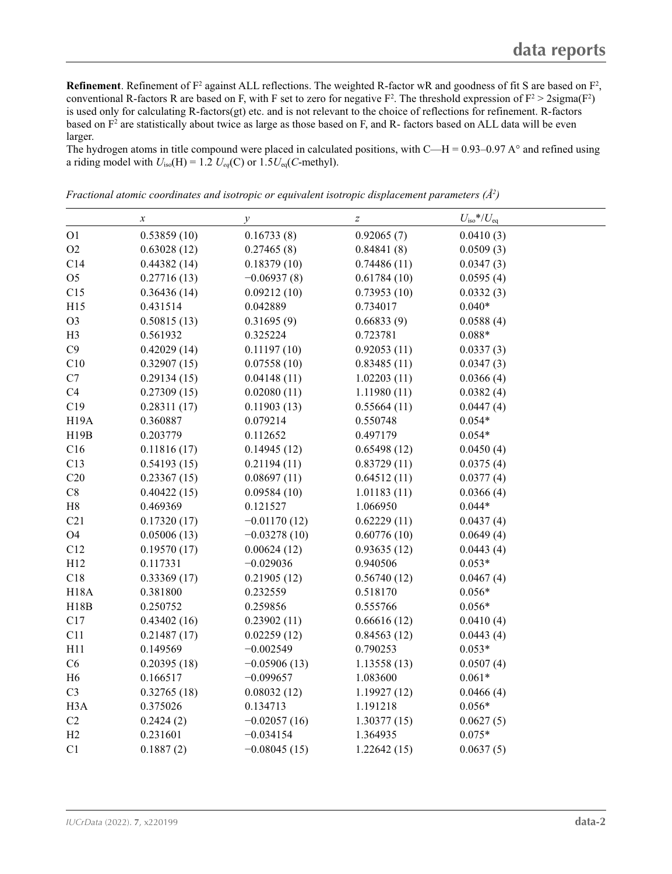**Refinement**. Refinement of  $F^2$  against ALL reflections. The weighted R-factor wR and goodness of fit S are based on  $F^2$ , conventional R-factors R are based on F, with F set to zero for negative  $F^2$ . The threshold expression of  $F^2 > 2 \text{sigma}(F^2)$ is used only for calculating R-factors(gt) etc. and is not relevant to the choice of reflections for refinement. R-factors based on  $F^2$  are statistically about twice as large as those based on F, and R- factors based on ALL data will be even larger.

The hydrogen atoms in title compound were placed in calculated positions, with C—H = 0.93–0.97 A $\degree$  and refined using a riding model with  $U_{iso}(H) = 1.2 U_{eq}(C)$  or  $1.5U_{eq}(C$ -methyl).

|                   | $\boldsymbol{\mathcal{X}}$ | $\mathcal{Y}$  | $\boldsymbol{Z}$ | $U_{\rm iso}*/U_{\rm eq}$ |  |
|-------------------|----------------------------|----------------|------------------|---------------------------|--|
| O <sub>1</sub>    | 0.53859(10)                | 0.16733(8)     | 0.92065(7)       | 0.0410(3)                 |  |
| O2                | 0.63028(12)                | 0.27465(8)     | 0.84841(8)       | 0.0509(3)                 |  |
| C14               | 0.44382(14)                | 0.18379(10)    | 0.74486(11)      | 0.0347(3)                 |  |
| O <sub>5</sub>    | 0.27716(13)                | $-0.06937(8)$  | 0.61784(10)      | 0.0595(4)                 |  |
| C15               | 0.36436(14)                | 0.09212(10)    | 0.73953(10)      | 0.0332(3)                 |  |
| H15               | 0.431514                   | 0.042889       | 0.734017         | $0.040*$                  |  |
| O <sub>3</sub>    | 0.50815(13)                | 0.31695(9)     | 0.66833(9)       | 0.0588(4)                 |  |
| H <sub>3</sub>    | 0.561932                   | 0.325224       | 0.723781         | $0.088*$                  |  |
| C9                | 0.42029(14)                | 0.11197(10)    | 0.92053(11)      | 0.0337(3)                 |  |
| C10               | 0.32907(15)                | 0.07558(10)    | 0.83485(11)      | 0.0347(3)                 |  |
| C7                | 0.29134(15)                | 0.04148(11)    | 1.02203(11)      | 0.0366(4)                 |  |
| C4                | 0.27309(15)                | 0.02080(11)    | 1.11980(11)      | 0.0382(4)                 |  |
| C19               | 0.28311(17)                | 0.11903(13)    | 0.55664(11)      | 0.0447(4)                 |  |
| H <sub>19</sub> A | 0.360887                   | 0.079214       | 0.550748         | $0.054*$                  |  |
| H19B              | 0.203779                   | 0.112652       | 0.497179         | $0.054*$                  |  |
| C16               | 0.11816(17)                | 0.14945(12)    | 0.65498(12)      | 0.0450(4)                 |  |
| C13               | 0.54193(15)                | 0.21194(11)    | 0.83729(11)      | 0.0375(4)                 |  |
| C20               | 0.23367(15)                | 0.08697(11)    | 0.64512(11)      | 0.0377(4)                 |  |
| $\rm{C}8$         | 0.40422(15)                | 0.09584(10)    | 1.01183(11)      | 0.0366(4)                 |  |
| $\rm H8$          | 0.469369                   | 0.121527       | 1.066950         | $0.044*$                  |  |
| C21               | 0.17320(17)                | $-0.01170(12)$ | 0.62229(11)      | 0.0437(4)                 |  |
| O <sub>4</sub>    | 0.05006(13)                | $-0.03278(10)$ | 0.60776(10)      | 0.0649(4)                 |  |
| C12               | 0.19570(17)                | 0.00624(12)    | 0.93635(12)      | 0.0443(4)                 |  |
| H12               | 0.117331                   | $-0.029036$    | 0.940506         | $0.053*$                  |  |
| C18               | 0.33369(17)                | 0.21905(12)    | 0.56740(12)      | 0.0467(4)                 |  |
| <b>H18A</b>       | 0.381800                   | 0.232559       | 0.518170         | $0.056*$                  |  |
| H18B              | 0.250752                   | 0.259856       | 0.555766         | $0.056*$                  |  |
| C17               | 0.43402(16)                | 0.23902(11)    | 0.66616(12)      | 0.0410(4)                 |  |
| C11               | 0.21487(17)                | 0.02259(12)    | 0.84563(12)      | 0.0443(4)                 |  |
| H11               | 0.149569                   | $-0.002549$    | 0.790253         | $0.053*$                  |  |
| C6                | 0.20395(18)                | $-0.05906(13)$ | 1.13558(13)      | 0.0507(4)                 |  |
| H <sub>6</sub>    | 0.166517                   | $-0.099657$    | 1.083600         | $0.061*$                  |  |
| C <sub>3</sub>    | 0.32765(18)                | 0.08032(12)    | 1.19927(12)      | 0.0466(4)                 |  |
| H <sub>3</sub> A  | 0.375026                   | 0.134713       | 1.191218         | $0.056*$                  |  |
| C2                | 0.2424(2)                  | $-0.02057(16)$ | 1.30377(15)      | 0.0627(5)                 |  |
| H2                | 0.231601                   | $-0.034154$    | 1.364935         | $0.075*$                  |  |
| C1                | 0.1887(2)                  | $-0.08045(15)$ | 1.22642(15)      | 0.0637(5)                 |  |

*Fractional atomic coordinates and isotropic or equivalent isotropic displacement parameters (Å<sup>2</sup>)*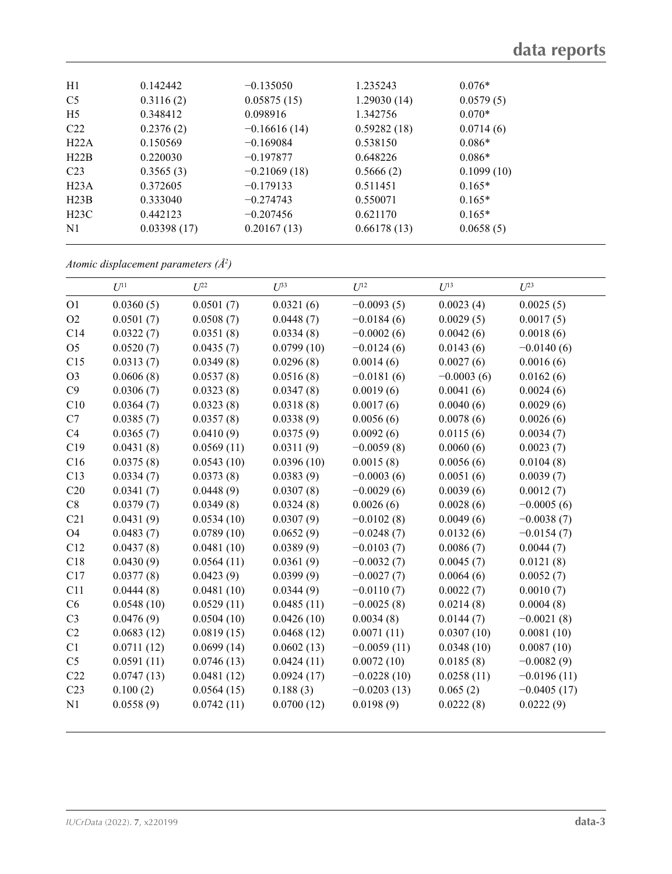| H1               | 0.142442    | $-0.135050$    | 1.235243    | $0.076*$   |
|------------------|-------------|----------------|-------------|------------|
| C <sub>5</sub>   | 0.3116(2)   | 0.05875(15)    | 1.29030(14) | 0.0579(5)  |
| H <sub>5</sub>   | 0.348412    | 0.098916       | 1.342756    | $0.070*$   |
| C22              | 0.2376(2)   | $-0.16616(14)$ | 0.59282(18) | 0.0714(6)  |
| H22A             | 0.150569    | $-0.169084$    | 0.538150    | $0.086*$   |
| H22B             | 0.220030    | $-0.197877$    | 0.648226    | $0.086*$   |
| C <sub>23</sub>  | 0.3565(3)   | $-0.21069(18)$ | 0.5666(2)   | 0.1099(10) |
| H <sub>23A</sub> | 0.372605    | $-0.179133$    | 0.511451    | $0.165*$   |
| H23B             | 0.333040    | $-0.274743$    | 0.550071    | $0.165*$   |
| H23C             | 0.442123    | $-0.207456$    | 0.621170    | $0.165*$   |
| N <sub>1</sub>   | 0.03398(17) | 0.20167(13)    | 0.66178(13) | 0.0658(5)  |

*Atomic displacement parameters (Å2 )*

|                 | $U^{11}$   | $U^{22}$   | $U^{33}$   | $U^{12}$      | $U^{13}$     | $U^{23}$      |
|-----------------|------------|------------|------------|---------------|--------------|---------------|
| O <sub>1</sub>  | 0.0360(5)  | 0.0501(7)  | 0.0321(6)  | $-0.0093(5)$  | 0.0023(4)    | 0.0025(5)     |
| O2              | 0.0501(7)  | 0.0508(7)  | 0.0448(7)  | $-0.0184(6)$  | 0.0029(5)    | 0.0017(5)     |
| C14             | 0.0322(7)  | 0.0351(8)  | 0.0334(8)  | $-0.0002(6)$  | 0.0042(6)    | 0.0018(6)     |
| O <sub>5</sub>  | 0.0520(7)  | 0.0435(7)  | 0.0799(10) | $-0.0124(6)$  | 0.0143(6)    | $-0.0140(6)$  |
| C15             | 0.0313(7)  | 0.0349(8)  | 0.0296(8)  | 0.0014(6)     | 0.0027(6)    | 0.0016(6)     |
| O <sub>3</sub>  | 0.0606(8)  | 0.0537(8)  | 0.0516(8)  | $-0.0181(6)$  | $-0.0003(6)$ | 0.0162(6)     |
| C9              | 0.0306(7)  | 0.0323(8)  | 0.0347(8)  | 0.0019(6)     | 0.0041(6)    | 0.0024(6)     |
| C10             | 0.0364(7)  | 0.0323(8)  | 0.0318(8)  | 0.0017(6)     | 0.0040(6)    | 0.0029(6)     |
| C7              | 0.0385(7)  | 0.0357(8)  | 0.0338(9)  | 0.0056(6)     | 0.0078(6)    | 0.0026(6)     |
| C4              | 0.0365(7)  | 0.0410(9)  | 0.0375(9)  | 0.0092(6)     | 0.0115(6)    | 0.0034(7)     |
| C19             | 0.0431(8)  | 0.0569(11) | 0.0311(9)  | $-0.0059(8)$  | 0.0060(6)    | 0.0023(7)     |
| C16             | 0.0375(8)  | 0.0543(10) | 0.0396(10) | 0.0015(8)     | 0.0056(6)    | 0.0104(8)     |
| C13             | 0.0334(7)  | 0.0373(8)  | 0.0383(9)  | $-0.0003(6)$  | 0.0051(6)    | 0.0039(7)     |
| C20             | 0.0341(7)  | 0.0448(9)  | 0.0307(8)  | $-0.0029(6)$  | 0.0039(6)    | 0.0012(7)     |
| C8              | 0.0379(7)  | 0.0349(8)  | 0.0324(8)  | 0.0026(6)     | 0.0028(6)    | $-0.0005(6)$  |
| C21             | 0.0431(9)  | 0.0534(10) | 0.0307(9)  | $-0.0102(8)$  | 0.0049(6)    | $-0.0038(7)$  |
| <b>O4</b>       | 0.0483(7)  | 0.0789(10) | 0.0652(9)  | $-0.0248(7)$  | 0.0132(6)    | $-0.0154(7)$  |
| C12             | 0.0437(8)  | 0.0481(10) | 0.0389(9)  | $-0.0103(7)$  | 0.0086(7)    | 0.0044(7)     |
| C18             | 0.0430(9)  | 0.0564(11) | 0.0361(9)  | $-0.0032(7)$  | 0.0045(7)    | 0.0121(8)     |
| C17             | 0.0377(8)  | 0.0423(9)  | 0.0399(9)  | $-0.0027(7)$  | 0.0064(6)    | 0.0052(7)     |
| C11             | 0.0444(8)  | 0.0481(10) | 0.0344(9)  | $-0.0110(7)$  | 0.0022(7)    | 0.0010(7)     |
| C6              | 0.0548(10) | 0.0529(11) | 0.0485(11) | $-0.0025(8)$  | 0.0214(8)    | 0.0004(8)     |
| C <sub>3</sub>  | 0.0476(9)  | 0.0504(10) | 0.0426(10) | 0.0034(8)     | 0.0144(7)    | $-0.0021(8)$  |
| C2              | 0.0683(12) | 0.0819(15) | 0.0468(12) | 0.0071(11)    | 0.0307(10)   | 0.0081(10)    |
| C1              | 0.0711(12) | 0.0699(14) | 0.0602(13) | $-0.0059(11)$ | 0.0348(10)   | 0.0087(10)    |
| C <sub>5</sub>  | 0.0591(11) | 0.0746(13) | 0.0424(11) | 0.0072(10)    | 0.0185(8)    | $-0.0082(9)$  |
| C22             | 0.0747(13) | 0.0481(12) | 0.0924(17) | $-0.0228(10)$ | 0.0258(11)   | $-0.0196(11)$ |
| C <sub>23</sub> | 0.100(2)   | 0.0564(15) | 0.188(3)   | $-0.0203(13)$ | 0.065(2)     | $-0.0405(17)$ |
| N1              | 0.0558(9)  | 0.0742(11) | 0.0700(12) | 0.0198(9)     | 0.0222(8)    | 0.0222(9)     |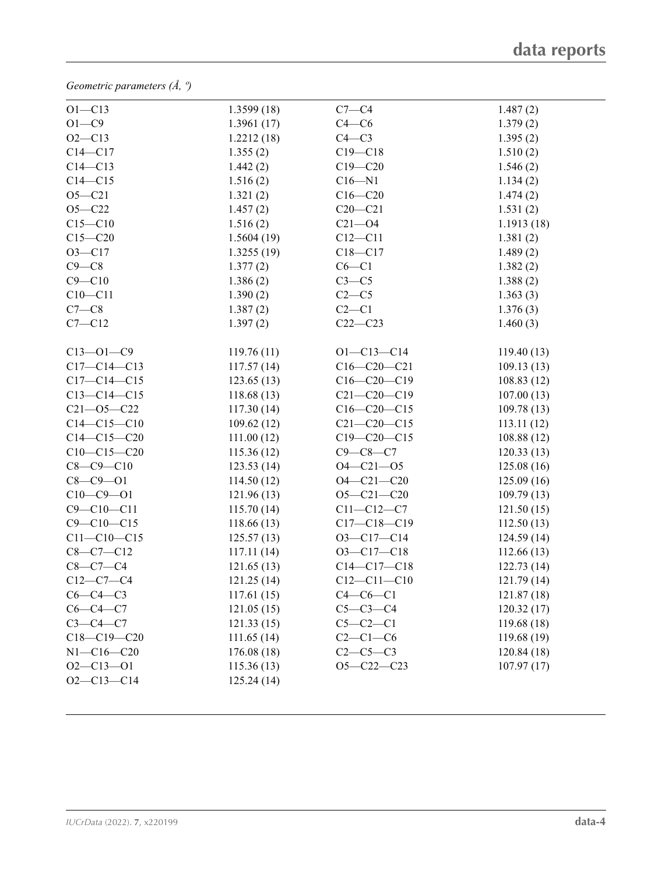*Geometric parameters (Å, º)*

| $O1 - C13$        | 1.3599(18) | $C7-C4$           | 1.487(2)    |
|-------------------|------------|-------------------|-------------|
| $O1-C9$           | 1.3961(17) | $C4 - C6$         | 1.379(2)    |
| $O2 - C13$        | 1.2212(18) | $C4-C3$           | 1.395(2)    |
| $C14 - C17$       | 1.355(2)   | $C19 - C18$       | 1.510(2)    |
| $C14 - C13$       | 1.442(2)   | $C19 - C20$       | 1.546(2)    |
| $C14 - C15$       | 1.516(2)   | $C16 - N1$        | 1.134(2)    |
| $O5 - C21$        | 1.321(2)   | $C16 - C20$       | 1.474(2)    |
| $O5 - C22$        | 1.457(2)   | $C20 - C21$       | 1.531(2)    |
| $C15-C10$         | 1.516(2)   | $C21 - O4$        | 1.1913(18)  |
| $C15 - C20$       | 1.5604(19) | $C12 - C11$       | 1.381(2)    |
| $O3 - C17$        | 1.3255(19) | $C18 - C17$       | 1.489(2)    |
| $C9 - C8$         | 1.377(2)   | $C6 - C1$         | 1.382(2)    |
| $C9 - C10$        | 1.386(2)   | $C3-C5$           | 1.388(2)    |
| $C10 - C11$       | 1.390(2)   | $C2-C5$           | 1.363(3)    |
| $C7-C8$           | 1.387(2)   | $C2-C1$           | 1.376(3)    |
| $C7 - C12$        | 1.397(2)   | $C22-C23$         | 1.460(3)    |
|                   |            |                   |             |
| $C13 - 01 - C9$   | 119.76(11) | $O1 - C13 - C14$  | 119.40(13)  |
| $C17 - C14 - C13$ | 117.57(14) | $C16 - C20 - C21$ | 109.13(13)  |
| $C17 - C14 - C15$ | 123.65(13) | $C16-C20-C19$     | 108.83(12)  |
| $C13 - C14 - C15$ | 118.68(13) | $C21 - C20 - C19$ | 107.00(13)  |
| $C21 - 05 - C22$  | 117.30(14) | $C16-C20-C15$     | 109.78(13)  |
| $C14 - C15 - C10$ | 109.62(12) | $C21 - C20 - C15$ | 113.11(12)  |
| $C14 - C15 - C20$ | 111.00(12) | $C19 - C20 - C15$ | 108.88 (12) |
| $C10-C15-C20$     | 115.36(12) | $C9 - C8 - C7$    | 120.33(13)  |
| $C8 - C9 - C10$   | 123.53(14) | $O4 - C21 - O5$   | 125.08(16)  |
| $C8 - C9 - O1$    | 114.50(12) | $O4 - C21 - C20$  | 125.09(16)  |
| $C10 - C9 - O1$   | 121.96(13) | $O5 - C21 - C20$  | 109.79(13)  |
| $C9 - C10 - C11$  | 115.70(14) | $C11 - C12 - C7$  | 121.50(15)  |
| $C9 - C10 - C15$  | 118.66(13) | $C17 - C18 - C19$ | 112.50(13)  |
| $C11 - C10 - C15$ | 125.57(13) | $O3-C17-C14$      | 124.59(14)  |
| $C8-C7-C12$       | 117.11(14) | $O3 - C17 - C18$  | 112.66(13)  |
| $C8 - C7 - C4$    | 121.65(13) | $C14-C17-C18$     | 122.73(14)  |
| $C12 - C7 - C4$   | 121.25(14) | $C12 - C11 - C10$ | 121.79(14)  |
| $C6-C4-C3$        | 117.61(15) | $C4-C6-C1$        | 121.87(18)  |
| $C6-C4-C7$        | 121.05(15) | $C5-C3-C4$        | 120.32(17)  |
| $C3-C4-C7$        | 121.33(15) | $C5-C2-C1$        | 119.68(18)  |
| $C18 - C19 - C20$ | 111.65(14) | $C2-C1-C6$        | 119.68(19)  |
| $N1 - C16 - C20$  | 176.08(18) | $C2-C5-C3$        | 120.84(18)  |
| $O2 - C13 - O1$   | 115.36(13) | $O5 - C22 - C23$  | 107.97(17)  |
| $O2 - C13 - C14$  | 125.24(14) |                   |             |
|                   |            |                   |             |